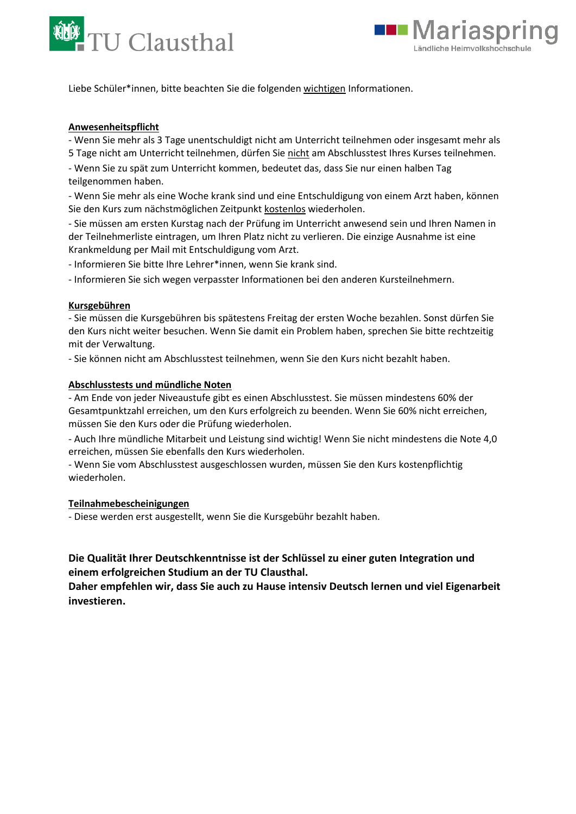



Liebe Schüler\*innen, bitte beachten Sie die folgenden wichtigen Informationen.

# **Anwesenheitspflicht**

- Wenn Sie mehr als 3 Tage unentschuldigt nicht am Unterricht teilnehmen oder insgesamt mehr als 5 Tage nicht am Unterricht teilnehmen, dürfen Sie nicht am Abschlusstest Ihres Kurses teilnehmen.

- Wenn Sie zu spät zum Unterricht kommen, bedeutet das, dass Sie nur einen halben Tag teilgenommen haben.

- Wenn Sie mehr als eine Woche krank sind und eine Entschuldigung von einem Arzt haben, können Sie den Kurs zum nächstmöglichen Zeitpunkt kostenlos wiederholen.

- Sie müssen am ersten Kurstag nach der Prüfung im Unterricht anwesend sein und Ihren Namen in der Teilnehmerliste eintragen, um Ihren Platz nicht zu verlieren. Die einzige Ausnahme ist eine Krankmeldung per Mail mit Entschuldigung vom Arzt.

- Informieren Sie bitte Ihre Lehrer\*innen, wenn Sie krank sind.

- Informieren Sie sich wegen verpasster Informationen bei den anderen Kursteilnehmern.

## **Kursgebühren**

- Sie müssen die Kursgebühren bis spätestens Freitag der ersten Woche bezahlen. Sonst dürfen Sie den Kurs nicht weiter besuchen. Wenn Sie damit ein Problem haben, sprechen Sie bitte rechtzeitig mit der Verwaltung.

- Sie können nicht am Abschlusstest teilnehmen, wenn Sie den Kurs nicht bezahlt haben.

# **Abschlusstests und mündliche Noten**

- Am Ende von jeder Niveaustufe gibt es einen Abschlusstest. Sie müssen mindestens 60% der Gesamtpunktzahl erreichen, um den Kurs erfolgreich zu beenden. Wenn Sie 60% nicht erreichen, müssen Sie den Kurs oder die Prüfung wiederholen.

- Auch Ihre mündliche Mitarbeit und Leistung sind wichtig! Wenn Sie nicht mindestens die Note 4,0 erreichen, müssen Sie ebenfalls den Kurs wiederholen.

- Wenn Sie vom Abschlusstest ausgeschlossen wurden, müssen Sie den Kurs kostenpflichtig wiederholen.

## **Teilnahmebescheinigungen**

- Diese werden erst ausgestellt, wenn Sie die Kursgebühr bezahlt haben.

# **Die Qualität Ihrer Deutschkenntnisse ist der Schlüssel zu einer guten Integration und einem erfolgreichen Studium an der TU Clausthal.**

**Daher empfehlen wir, dass Sie auch zu Hause intensiv Deutsch lernen und viel Eigenarbeit investieren.**